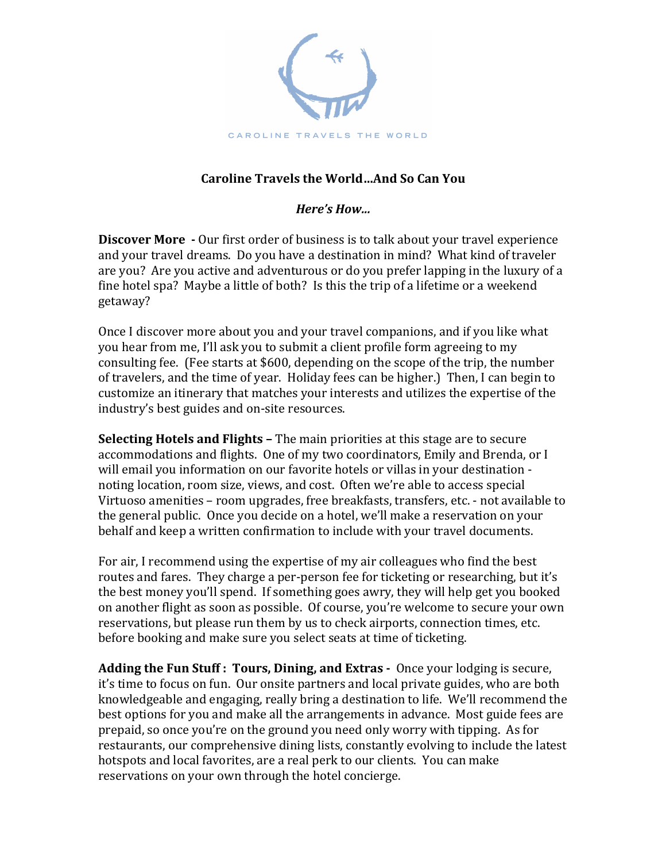

## **Caroline Travels the World…And So Can You**

*Here's How...*

**Discover More** - Our first order of business is to talk about your travel experience and your travel dreams. Do you have a destination in mind? What kind of traveler are you? Are you active and adventurous or do you prefer lapping in the luxury of a fine hotel spa? Maybe a little of both? Is this the trip of a lifetime or a weekend getaway? 

Once I discover more about you and your travel companions, and if you like what you hear from me, I'll ask you to submit a client profile form agreeing to my consulting fee. (Fee starts at \$600, depending on the scope of the trip, the number of travelers, and the time of year. Holiday fees can be higher.) Then, I can begin to customize an itinerary that matches your interests and utilizes the expertise of the industry's best guides and on-site resources.

**Selecting Hotels and Flights –** The main priorities at this stage are to secure accommodations and flights. One of my two coordinators, Emily and Brenda, or I will email you information on our favorite hotels or villas in your destination noting location, room size, views, and cost. Often we're able to access special Virtuoso amenities – room upgrades, free breakfasts, transfers, etc. - not available to the general public. Once you decide on a hotel, we'll make a reservation on your behalf and keep a written confirmation to include with your travel documents.

For air, I recommend using the expertise of my air colleagues who find the best routes and fares. They charge a per-person fee for ticketing or researching, but it's the best money you'll spend. If something goes awry, they will help get you booked on another flight as soon as possible. Of course, you're welcome to secure your own reservations, but please run them by us to check airports, connection times, etc. before booking and make sure you select seats at time of ticketing.

**Adding the Fun Stuff: Tours, Dining, and Extras -** Once your lodging is secure, it's time to focus on fun. Our onsite partners and local private guides, who are both knowledgeable and engaging, really bring a destination to life. We'll recommend the best options for you and make all the arrangements in advance. Most guide fees are prepaid, so once you're on the ground you need only worry with tipping. As for restaurants, our comprehensive dining lists, constantly evolving to include the latest hotspots and local favorites, are a real perk to our clients. You can make reservations on your own through the hotel concierge.